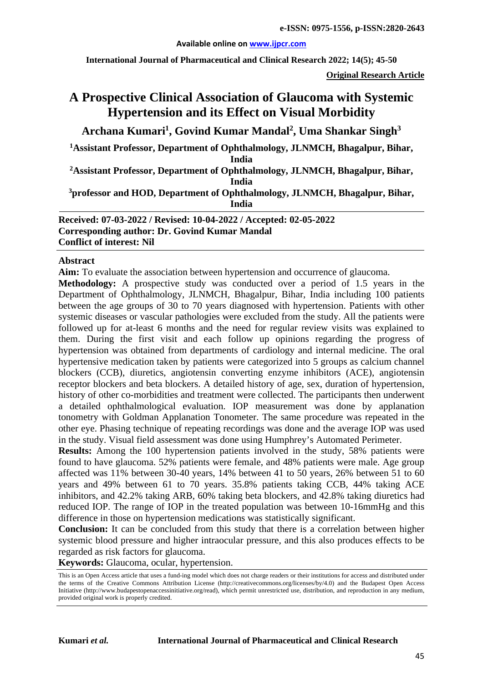#### **Available online on [www.ijpcr.com](http://www.ijpcr.com/)**

**International Journal of Pharmaceutical and Clinical Research 2022; 14(5); 45-50**

**Original Research Article**

# **A Prospective Clinical Association of Glaucoma with Systemic Hypertension and its Effect on Visual Morbidity**

**Archana Kumari<sup>1</sup> , Govind Kumar Mandal2 , Uma Shankar Singh<sup>3</sup>**

**1Assistant Professor, Department of Ophthalmology, JLNMCH, Bhagalpur, Bihar,** 

**India**

**2Assistant Professor, Department of Ophthalmology, JLNMCH, Bhagalpur, Bihar, India**

**3professor and HOD, Department of Ophthalmology, JLNMCH, Bhagalpur, Bihar, India**

**Received: 07-03-2022 / Revised: 10-04-2022 / Accepted: 02-05-2022 Corresponding author: Dr. Govind Kumar Mandal Conflict of interest: Nil**

#### **Abstract**

**Aim:** To evaluate the association between hypertension and occurrence of glaucoma.

**Methodology:** A prospective study was conducted over a period of 1.5 years in the Department of Ophthalmology, JLNMCH, Bhagalpur, Bihar, India including 100 patients between the age groups of 30 to 70 years diagnosed with hypertension. Patients with other systemic diseases or vascular pathologies were excluded from the study. All the patients were followed up for at-least 6 months and the need for regular review visits was explained to them. During the first visit and each follow up opinions regarding the progress of hypertension was obtained from departments of cardiology and internal medicine. The oral hypertensive medication taken by patients were categorized into 5 groups as calcium channel blockers (CCB), diuretics, angiotensin converting enzyme inhibitors (ACE), angiotensin receptor blockers and beta blockers. A detailed history of age, sex, duration of hypertension, history of other co-morbidities and treatment were collected. The participants then underwent a detailed ophthalmological evaluation. IOP measurement was done by applanation tonometry with Goldman Applanation Tonometer. The same procedure was repeated in the other eye. Phasing technique of repeating recordings was done and the average IOP was used in the study. Visual field assessment was done using Humphrey's Automated Perimeter.

**Results:** Among the 100 hypertension patients involved in the study, 58% patients were found to have glaucoma. 52% patients were female, and 48% patients were male. Age group affected was 11% between 30-40 years, 14% between 41 to 50 years, 26% between 51 to 60 years and 49% between 61 to 70 years. 35.8% patients taking CCB, 44% taking ACE inhibitors, and 42.2% taking ARB, 60% taking beta blockers, and 42.8% taking diuretics had reduced IOP. The range of IOP in the treated population was between 10-16mmHg and this difference in those on hypertension medications was statistically significant.

**Conclusion:** It can be concluded from this study that there is a correlation between higher systemic blood pressure and higher intraocular pressure, and this also produces effects to be regarded as risk factors for glaucoma.

**Keywords:** Glaucoma, ocular, hypertension.

This is an Open Access article that uses a fund-ing model which does not charge readers or their institutions for access and distributed under the terms of the Creative Commons Attribution License (http://creativecommons.org/licenses/by/4.0) and the Budapest Open Access Initiative (http://www.budapestopenaccessinitiative.org/read), which permit unrestricted use, distribution, and reproduction in any medium, provided original work is properly credited.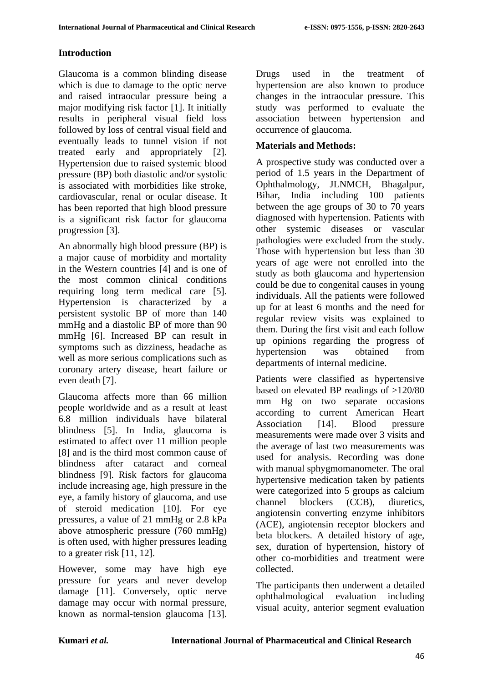# **Introduction**

Glaucoma is a common blinding disease which is due to damage to the optic nerve and raised intraocular pressure being a major modifying risk factor [1]. It initially results in peripheral visual field loss followed by loss of central visual field and eventually leads to tunnel vision if not treated early and appropriately [2]. Hypertension due to raised systemic blood pressure (BP) both diastolic and/or systolic is associated with morbidities like stroke, cardiovascular, renal or ocular disease. It has been reported that high blood pressure is a significant risk factor for glaucoma progression [3].

An abnormally high blood pressure (BP) is a major cause of morbidity and mortality in the Western countries [4] and is one of the most common clinical conditions requiring long term medical care [5]. Hypertension is characterized by a persistent systolic BP of more than 140 mmHg and a diastolic BP of more than 90 mmHg [6]. Increased BP can result in symptoms such as dizziness, headache as well as more serious complications such as coronary artery disease, heart failure or even death [7].

Glaucoma affects more than 66 million people worldwide and as a result at least 6.8 million individuals have bilateral blindness [5]. In India, glaucoma is estimated to affect over 11 million people [8] and is the third most common cause of blindness after cataract and corneal blindness [9]. Risk factors for glaucoma include increasing age, high pressure in the eye, a family history of glaucoma, and use of steroid medication [10]. For eye pressures, a value of 21 mmHg or 2.8 kPa above atmospheric pressure (760 mmHg) is often used, with higher pressures leading to a greater risk [11, 12].

However, some may have high eye pressure for years and never develop damage [11]. Conversely, optic nerve damage may occur with normal pressure, known as normal-tension glaucoma [13].

Drugs used in the treatment of hypertension are also known to produce changes in the intraocular pressure. This study was performed to evaluate the association between hypertension and occurrence of glaucoma.

# **Materials and Methods:**

A prospective study was conducted over a period of 1.5 years in the Department of Ophthalmology, JLNMCH, Bhagalpur, Bihar, India including 100 patients between the age groups of 30 to 70 years diagnosed with hypertension. Patients with other systemic diseases or vascular pathologies were excluded from the study. Those with hypertension but less than 30 years of age were not enrolled into the study as both glaucoma and hypertension could be due to congenital causes in young individuals. All the patients were followed up for at least 6 months and the need for regular review visits was explained to them. During the first visit and each follow up opinions regarding the progress of hypertension was obtained from departments of internal medicine.

Patients were classified as hypertensive based on elevated BP readings of >120/80 mm Hg on two separate occasions according to current American Heart Association [14]. Blood pressure measurements were made over 3 visits and the average of last two measurements was used for analysis. Recording was done with manual sphygmomanometer. The oral hypertensive medication taken by patients were categorized into 5 groups as calcium channel blockers (CCB), diuretics, angiotensin converting enzyme inhibitors (ACE), angiotensin receptor blockers and beta blockers. A detailed history of age, sex, duration of hypertension, history of other co-morbidities and treatment were collected.

The participants then underwent a detailed ophthalmological evaluation including visual acuity, anterior segment evaluation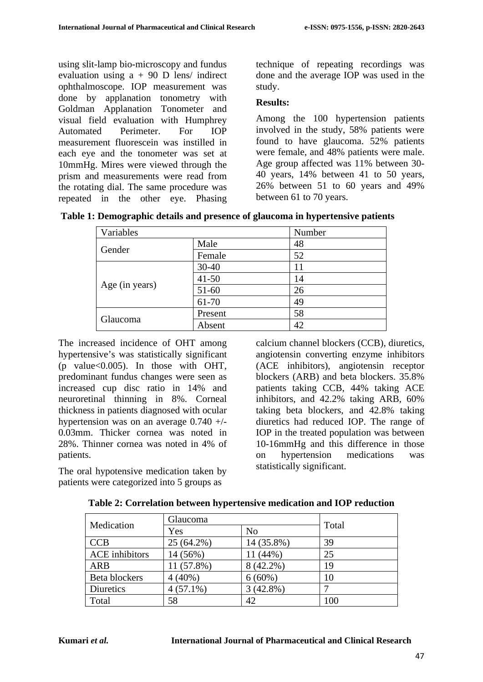using slit-lamp bio-microscopy and fundus evaluation using  $a + 90$  D lens/ indirect ophthalmoscope. IOP measurement was done by applanation tonometry with Goldman Applanation Tonometer and visual field evaluation with Humphrey Automated Perimeter. For IOP measurement fluorescein was instilled in each eye and the tonometer was set at 10mmHg. Mires were viewed through the prism and measurements were read from the rotating dial. The same procedure was repeated in the other eye. Phasing technique of repeating recordings was done and the average IOP was used in the study.

## **Results:**

Among the 100 hypertension patients involved in the study, 58% patients were found to have glaucoma. 52% patients were female, and 48% patients were male. Age group affected was 11% between 30- 40 years, 14% between 41 to 50 years, 26% between 51 to 60 years and 49% between 61 to 70 years.

|  |  |  | Table 1: Demographic details and presence of glaucoma in hypertensive patients |
|--|--|--|--------------------------------------------------------------------------------|
|  |  |  |                                                                                |

| Variables      |           | Number |  |
|----------------|-----------|--------|--|
|                | Male      | 48     |  |
| Gender         | Female    | 52     |  |
|                | $30 - 40$ | 11     |  |
|                | $41 - 50$ | 14     |  |
| Age (in years) | $51-60$   | 26     |  |
|                | 61-70     | 49     |  |
| Glaucoma       | Present   | 58     |  |
|                | Absent    | 42     |  |

The increased incidence of OHT among hypertensive's was statistically significant (p value $<0.005$ ). In those with OHT, predominant fundus changes were seen as increased cup disc ratio in 14% and neuroretinal thinning in 8%. Corneal thickness in patients diagnosed with ocular hypertension was on an average 0.740 +/- 0.03mm. Thicker cornea was noted in 28%. Thinner cornea was noted in 4% of patients.

The oral hypotensive medication taken by patients were categorized into 5 groups as

calcium channel blockers (CCB), diuretics, angiotensin converting enzyme inhibitors (ACE inhibitors), angiotensin receptor blockers (ARB) and beta blockers. 35.8% patients taking CCB, 44% taking ACE inhibitors, and 42.2% taking ARB, 60% taking beta blockers, and 42.8% taking diuretics had reduced IOP. The range of IOP in the treated population was between 10-16mmHg and this difference in those on hypertension medications was statistically significant.

| Medication            | Glaucoma    | Total          |     |  |
|-----------------------|-------------|----------------|-----|--|
|                       | Yes         | N <sub>0</sub> |     |  |
| <b>CCB</b>            | 25 (64.2%)  | 14 (35.8%)     | 39  |  |
| <b>ACE</b> inhibitors | 14 (56%)    | 11 (44%)       | 25  |  |
| <b>ARB</b>            | 11 (57.8%)  | 8 (42.2%)      | 19  |  |
| Beta blockers         | $4(40\%)$   | $6(60\%)$      | 10  |  |
| Diuretics             | $4(57.1\%)$ | 3(42.8%)       |     |  |
| Total                 | 58          | 42             | 100 |  |

**Table 2: Correlation between hypertensive medication and IOP reduction**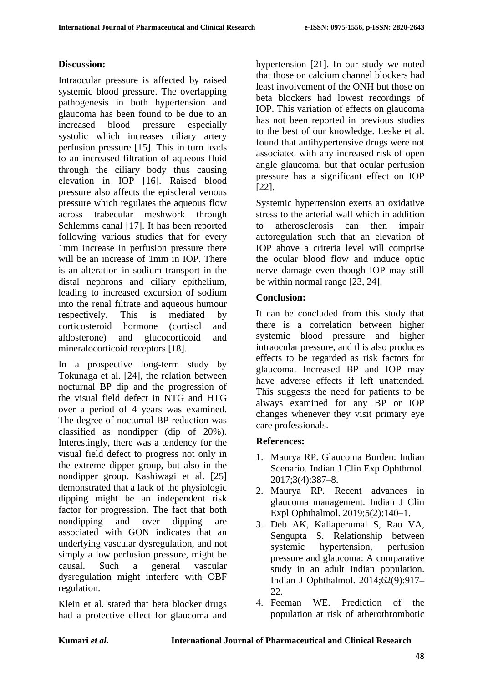## **Discussion:**

Intraocular pressure is affected by raised systemic blood pressure. The overlapping pathogenesis in both hypertension and glaucoma has been found to be due to an increased blood pressure especially systolic which increases ciliary artery perfusion pressure [15]. This in turn leads to an increased filtration of aqueous fluid through the ciliary body thus causing elevation in IOP [16]. Raised blood pressure also affects the episcleral venous pressure which regulates the aqueous flow across trabecular meshwork through Schlemms canal [17]. It has been reported following various studies that for every 1mm increase in perfusion pressure there will be an increase of 1mm in IOP. There is an alteration in sodium transport in the distal nephrons and ciliary epithelium, leading to increased excursion of sodium into the renal filtrate and aqueous humour respectively. This is mediated by corticosteroid hormone (cortisol and aldosterone) and glucocorticoid and mineralocorticoid receptors [18].

In a prospective long-term study by Tokunaga et al. [24], the relation between nocturnal BP dip and the progression of the visual field defect in NTG and HTG over a period of 4 years was examined. The degree of nocturnal BP reduction was classified as nondipper (dip of 20%). Interestingly, there was a tendency for the visual field defect to progress not only in the extreme dipper group, but also in the nondipper group. Kashiwagi et al. [25] demonstrated that a lack of the physiologic dipping might be an independent risk factor for progression. The fact that both nondipping and over dipping associated with GON indicates that an underlying vascular dysregulation, and not simply a low perfusion pressure, might be causal. Such a general vascular dysregulation might interfere with OBF regulation.

Klein et al. stated that beta blocker drugs had a protective effect for glaucoma and hypertension [21]. In our study we noted that those on calcium channel blockers had least involvement of the ONH but those on beta blockers had lowest recordings of IOP. This variation of effects on glaucoma has not been reported in previous studies to the best of our knowledge. Leske et al. found that antihypertensive drugs were not associated with any increased risk of open angle glaucoma, but that ocular perfusion pressure has a significant effect on IOP [22].

Systemic hypertension exerts an oxidative stress to the arterial wall which in addition to atherosclerosis can then impair autoregulation such that an elevation of IOP above a criteria level will comprise the ocular blood flow and induce optic nerve damage even though IOP may still be within normal range [23, 24].

# **Conclusion:**

It can be concluded from this study that there is a correlation between higher systemic blood pressure and higher intraocular pressure, and this also produces effects to be regarded as risk factors for glaucoma. Increased BP and IOP may have adverse effects if left unattended. This suggests the need for patients to be always examined for any BP or IOP changes whenever they visit primary eye care professionals.

#### **References:**

- 1. Maurya RP. Glaucoma Burden: Indian Scenario. Indian J Clin Exp Ophthmol. 2017;3(4):387–8.
- 2. Maurya RP. Recent advances in glaucoma management. Indian J Clin Expl Ophthalmol. 2019;5(2):140–1.
- 3. Deb AK, Kaliaperumal S, Rao VA, Sengupta S. Relationship between systemic hypertension, perfusion pressure and glaucoma: A comparative study in an adult Indian population. Indian J Ophthalmol. 2014;62(9):917–  $22.2$
- 4. Feeman WE. Prediction of the population at risk of atherothrombotic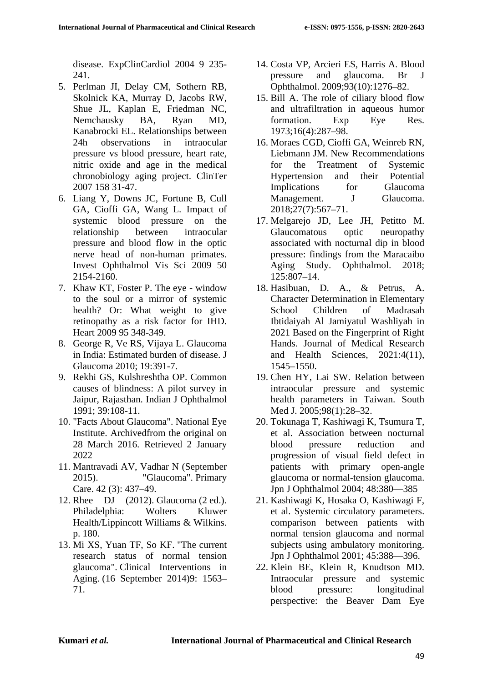disease. ExpClinCardiol 2004 9 235- 241.

- 5. Perlman JI, Delay CM, Sothern RB, Skolnick KA, Murray D, Jacobs RW, Shue JL, Kaplan E, Friedman NC, Nemchausky BA, Ryan MD, Kanabrocki EL. Relationships between 24h observations in intraocular pressure vs blood pressure, heart rate, nitric oxide and age in the medical chronobiology aging project. ClinTer 2007 158 31-47.
- 6. Liang Y, Downs JC, Fortune B, Cull GA, Cioffi GA, Wang L. Impact of systemic blood pressure on the relationship between intraocular pressure and blood flow in the optic nerve head of non-human primates. Invest Ophthalmol Vis Sci 2009 50 2154-2160.
- 7. Khaw KT, Foster P. The eye window to the soul or a mirror of systemic health? Or: What weight to give retinopathy as a risk factor for IHD. Heart 2009 95 348-349.
- 8. George R, Ve RS, Vijaya L. Glaucoma in India: Estimated burden of disease. J Glaucoma 2010; 19:391-7.
- 9. Rekhi GS, Kulshreshtha OP. Common causes of blindness: A pilot survey in Jaipur, Rajasthan. Indian J Ophthalmol 1991; 39:108-11.
- 10. "Facts About Glaucoma". National Eye Institute. Archivedfrom the original on 28 March 2016. Retrieved 2 January 2022
- 11. Mantravadi AV, Vadhar N (September 2015). "Glaucoma". Primary Care. 42 (3): 437–49.
- 12. Rhee DJ (2012). Glaucoma (2 ed.). Philadelphia: Wolters Kluwer Health/Lippincott Williams & Wilkins. p. 180.
- 13. Mi XS, Yuan TF, So KF. "The current research status of normal tension glaucoma". Clinical Interventions in Aging. (16 September 2014)9: 1563– 71.
- 14. Costa VP, Arcieri ES, Harris A. Blood pressure and glaucoma. Br J Ophthalmol. 2009;93(10):1276–82.
- 15. Bill A. The role of ciliary blood flow and ultrafiltration in aqueous humor formation. Exp Eye Res. 1973;16(4):287–98.
- 16. Moraes CGD, Cioffi GA, Weinreb RN, Liebmann JM. New Recommendations for the Treatment of Systemic Hypertension and their Potential Implications for Glaucoma Management. J Glaucoma. 2018;27(7):567–71.
- 17. Melgarejo JD, Lee JH, Petitto M. Glaucomatous optic neuropathy associated with nocturnal dip in blood pressure: findings from the Maracaibo Aging Study. Ophthalmol. 2018; 125:807–14.
- 18. Hasibuan, D. A., & Petrus, A. Character Determination in Elementary School Children of Madrasah Ibtidaiyah Al Jamiyatul Washliyah in 2021 Based on the Fingerprint of Right Hands. Journal of Medical Research and Health Sciences, 2021:4(11), 1545–1550.
- 19. Chen HY, Lai SW. Relation between intraocular pressure and systemic health parameters in Taiwan. South Med J. 2005;98(1):28–32.
- 20. Tokunaga T, Kashiwagi K, Tsumura T, et al. Association between nocturnal blood pressure reduction and progression of visual field defect in patients with primary open-angle glaucoma or normal-tension glaucoma. Jpn J Ophthalmol 2004; 48:380—385
- 21. Kashiwagi K, Hosaka O, Kashiwagi F, et al. Systemic circulatory parameters. comparison between patients with normal tension glaucoma and normal subjects using ambulatory monitoring. Jpn J Ophthalmol 2001; 45:388—396.
- 22. Klein BE, Klein R, Knudtson MD. Intraocular pressure and systemic blood pressure: longitudinal perspective: the Beaver Dam Eye